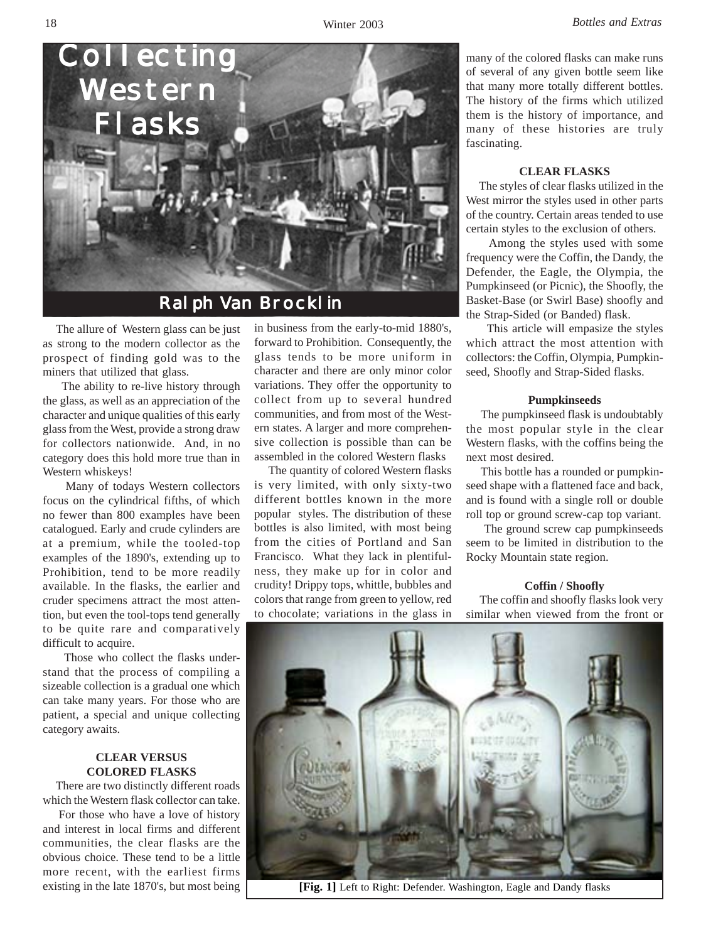

Ralph Van Brocklin

 The allure of Western glass can be just as strong to the modern collector as the prospect of finding gold was to the miners that utilized that glass.

 The ability to re-live history through the glass, as well as an appreciation of the character and unique qualities of this early glass from the West, provide a strong draw for collectors nationwide. And, in no category does this hold more true than in Western whiskeys!

 Many of todays Western collectors focus on the cylindrical fifths, of which no fewer than 800 examples have been catalogued. Early and crude cylinders are at a premium, while the tooled-top examples of the 1890's, extending up to Prohibition, tend to be more readily available. In the flasks, the earlier and cruder specimens attract the most attention, but even the tool-tops tend generally to be quite rare and comparatively difficult to acquire.

 Those who collect the flasks understand that the process of compiling a sizeable collection is a gradual one which can take many years. For those who are patient, a special and unique collecting category awaits.

# **CLEAR VERSUS COLORED FLASKS**

 There are two distinctly different roads which the Western flask collector can take.

 For those who have a love of history and interest in local firms and different communities, the clear flasks are the obvious choice. These tend to be a little more recent, with the earliest firms existing in the late 1870's, but most being

in business from the early-to-mid 1880's, forward to Prohibition. Consequently, the glass tends to be more uniform in character and there are only minor color variations. They offer the opportunity to collect from up to several hundred communities, and from most of the Western states. A larger and more comprehensive collection is possible than can be assembled in the colored Western flasks

 The quantity of colored Western flasks is very limited, with only sixty-two different bottles known in the more popular styles. The distribution of these bottles is also limited, with most being from the cities of Portland and San Francisco. What they lack in plentifulness, they make up for in color and crudity! Drippy tops, whittle, bubbles and colors that range from green to yellow, red to chocolate; variations in the glass in many of the colored flasks can make runs of several of any given bottle seem like that many more totally different bottles. The history of the firms which utilized them is the history of importance, and many of these histories are truly fascinating.

#### **CLEAR FLASKS**

 The styles of clear flasks utilized in the West mirror the styles used in other parts of the country. Certain areas tended to use certain styles to the exclusion of others.

 Among the styles used with some frequency were the Coffin, the Dandy, the Defender, the Eagle, the Olympia, the Pumpkinseed (or Picnic), the Shoofly, the Basket-Base (or Swirl Base) shoofly and the Strap-Sided (or Banded) flask.

 This article will empasize the styles which attract the most attention with collectors: the Coffin, Olympia, Pumpkinseed, Shoofly and Strap-Sided flasks.

#### **Pumpkinseeds**

 The pumpkinseed flask is undoubtably the most popular style in the clear Western flasks, with the coffins being the next most desired.

 This bottle has a rounded or pumpkinseed shape with a flattened face and back, and is found with a single roll or double roll top or ground screw-cap top variant.

 The ground screw cap pumpkinseeds seem to be limited in distribution to the Rocky Mountain state region.

#### **Coffin / Shoofly**

 The coffin and shoofly flasks look very similar when viewed from the front or



**[Fig. 1]** Left to Right: Defender. Washington, Eagle and Dandy flasks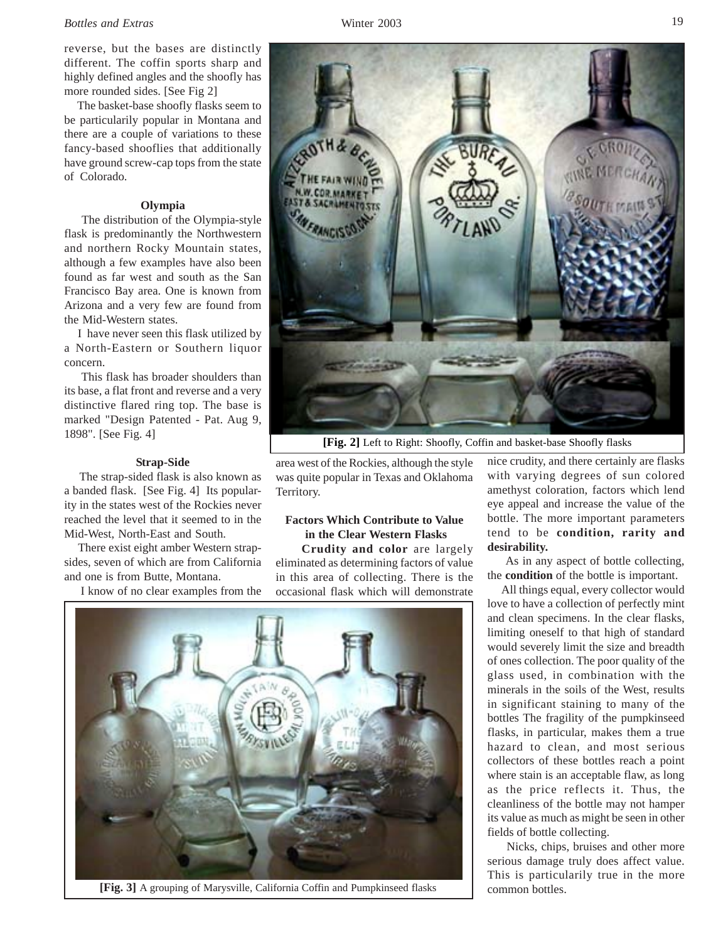#### *Bottles and Extras* Winter 2003

reverse, but the bases are distinctly different. The coffin sports sharp and highly defined angles and the shoofly has more rounded sides. [See Fig 2]

 The basket-base shoofly flasks seem to be particularily popular in Montana and there are a couple of variations to these fancy-based shooflies that additionally have ground screw-cap tops from the state of Colorado.

#### **Olympia**

 The distribution of the Olympia-style flask is predominantly the Northwestern and northern Rocky Mountain states, although a few examples have also been found as far west and south as the San Francisco Bay area. One is known from Arizona and a very few are found from the Mid-Western states.

 I have never seen this flask utilized by a North-Eastern or Southern liquor concern.

 This flask has broader shoulders than its base, a flat front and reverse and a very distinctive flared ring top. The base is marked "Design Patented - Pat. Aug 9, 1898". [See Fig. 4]

#### **Strap-Side**

 The strap-sided flask is also known as a banded flask. [See Fig. 4] Its popularity in the states west of the Rockies never reached the level that it seemed to in the Mid-West, North-East and South.

 There exist eight amber Western strapsides, seven of which are from California and one is from Butte, Montana.

I know of no clear examples from the



**[Fig. 2]** Left to Right: Shoofly, Coffin and basket-base Shoofly flasks

area west of the Rockies, although the style was quite popular in Texas and Oklahoma Territory.

# **Factors Which Contribute to Value in the Clear Western Flasks**

 **Crudity and color** are largely eliminated as determining factors of value in this area of collecting. There is the occasional flask which will demonstrate



common bottles. **[Fig. 3]** A grouping of Marysville, California Coffin and Pumpkinseed flasks

nice crudity, and there certainly are flasks with varying degrees of sun colored amethyst coloration, factors which lend eye appeal and increase the value of the bottle. The more important parameters tend to be **condition, rarity and desirability.**

 As in any aspect of bottle collecting, the **condition** of the bottle is important.

 All things equal, every collector would love to have a collection of perfectly mint and clean specimens. In the clear flasks, limiting oneself to that high of standard would severely limit the size and breadth of ones collection. The poor quality of the glass used, in combination with the minerals in the soils of the West, results in significant staining to many of the bottles The fragility of the pumpkinseed flasks, in particular, makes them a true hazard to clean, and most serious collectors of these bottles reach a point where stain is an acceptable flaw, as long as the price reflects it. Thus, the cleanliness of the bottle may not hamper its value as much as might be seen in other fields of bottle collecting.

 Nicks, chips, bruises and other more serious damage truly does affect value. This is particularily true in the more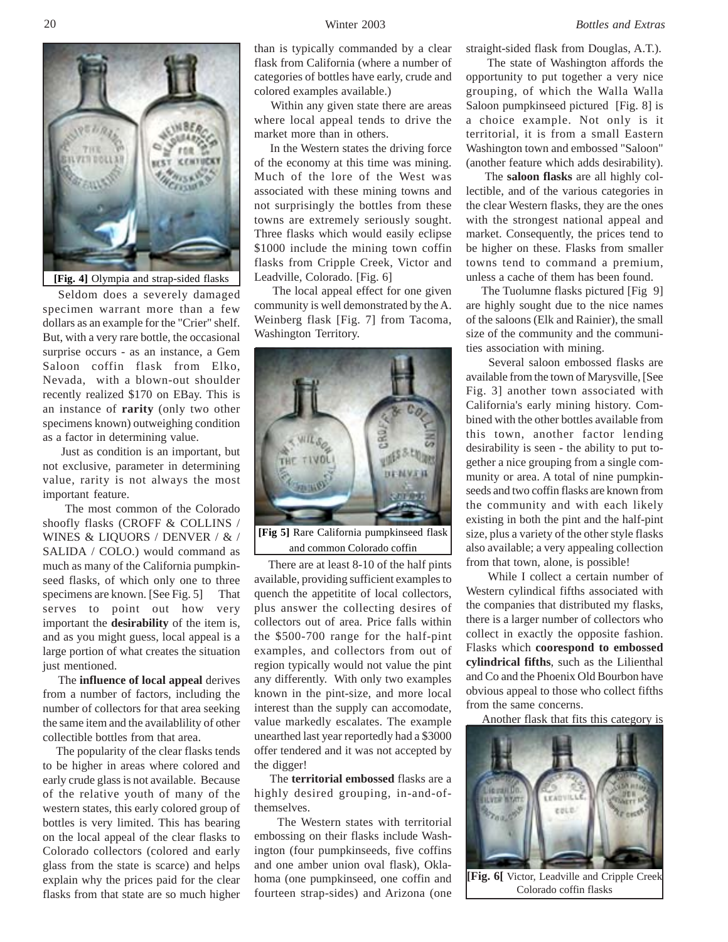

**[Fig. 4]** Olympia and strap-sided flasks

 Seldom does a severely damaged specimen warrant more than a few dollars as an example for the "Crier" shelf. But, with a very rare bottle, the occasional surprise occurs - as an instance, a Gem Saloon coffin flask from Elko, Nevada, with a blown-out shoulder recently realized \$170 on EBay. This is an instance of **rarity** (only two other specimens known) outweighing condition as a factor in determining value.

 Just as condition is an important, but not exclusive, parameter in determining value, rarity is not always the most important feature.

 The most common of the Colorado shoofly flasks (CROFF & COLLINS / WINES & LIQUORS / DENVER / & / SALIDA / COLO.) would command as much as many of the California pumpkinseed flasks, of which only one to three specimens are known. [See Fig. 5] That serves to point out how very important the **desirability** of the item is, and as you might guess, local appeal is a large portion of what creates the situation just mentioned.

 The **influence of local appeal** derives from a number of factors, including the number of collectors for that area seeking the same item and the availablility of other collectible bottles from that area.

 The popularity of the clear flasks tends to be higher in areas where colored and early crude glass is not available. Because of the relative youth of many of the western states, this early colored group of bottles is very limited. This has bearing on the local appeal of the clear flasks to Colorado collectors (colored and early glass from the state is scarce) and helps explain why the prices paid for the clear flasks from that state are so much higher

than is typically commanded by a clear flask from California (where a number of categories of bottles have early, crude and colored examples available.)

 Within any given state there are areas where local appeal tends to drive the market more than in others.

 In the Western states the driving force of the economy at this time was mining. Much of the lore of the West was associated with these mining towns and not surprisingly the bottles from these towns are extremely seriously sought. Three flasks which would easily eclipse \$1000 include the mining town coffin flasks from Cripple Creek, Victor and Leadville, Colorado. [Fig. 6]

 The local appeal effect for one given community is well demonstrated by the A. Weinberg flask [Fig. 7] from Tacoma, Washington Territory.



**[Fig 5]** Rare California pumpkinseed flask and common Colorado coffin

 There are at least 8-10 of the half pints available, providing sufficient examples to quench the appetitite of local collectors, plus answer the collecting desires of collectors out of area. Price falls within the \$500-700 range for the half-pint examples, and collectors from out of region typically would not value the pint any differently. With only two examples known in the pint-size, and more local interest than the supply can accomodate, value markedly escalates. The example unearthed last year reportedly had a \$3000 offer tendered and it was not accepted by the digger!

 The **territorial embossed** flasks are a highly desired grouping, in-and-ofthemselves.

 The Western states with territorial embossing on their flasks include Washington (four pumpkinseeds, five coffins and one amber union oval flask), Oklahoma (one pumpkinseed, one coffin and fourteen strap-sides) and Arizona (one straight-sided flask from Douglas, A.T.).

 The state of Washington affords the opportunity to put together a very nice grouping, of which the Walla Walla Saloon pumpkinseed pictured [Fig. 8] is a choice example. Not only is it territorial, it is from a small Eastern Washington town and embossed "Saloon" (another feature which adds desirability).

 The **saloon flasks** are all highly collectible, and of the various categories in the clear Western flasks, they are the ones with the strongest national appeal and market. Consequently, the prices tend to be higher on these. Flasks from smaller towns tend to command a premium, unless a cache of them has been found.

 The Tuolumne flasks pictured [Fig 9] are highly sought due to the nice names of the saloons (Elk and Rainier), the small size of the community and the communities association with mining.

 Several saloon embossed flasks are available from the town of Marysville, [See Fig. 3] another town associated with California's early mining history. Combined with the other bottles available from this town, another factor lending desirability is seen - the ability to put together a nice grouping from a single community or area. A total of nine pumpkinseeds and two coffin flasks are known from the community and with each likely existing in both the pint and the half-pint size, plus a variety of the other style flasks also available; a very appealing collection from that town, alone, is possible!

 While I collect a certain number of Western cylindical fifths associated with the companies that distributed my flasks, there is a larger number of collectors who collect in exactly the opposite fashion. Flasks which **coorespond to embossed cylindrical fifths**, such as the Lilienthal and Co and the Phoenix Old Bourbon have obvious appeal to those who collect fifths from the same concerns.

Another flask that fits this category is



**[Fig. 6[** Victor, Leadville and Cripple Creek Colorado coffin flasks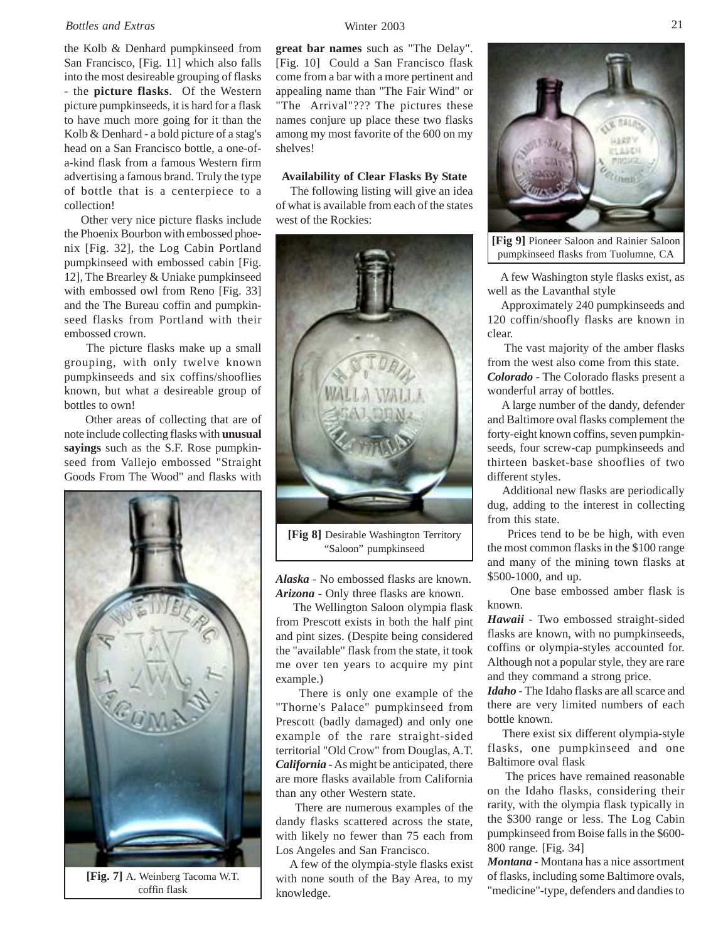#### *Bottles and Extras* Winter 2003

the Kolb & Denhard pumpkinseed from San Francisco, [Fig. 11] which also falls into the most desireable grouping of flasks - the **picture flasks**. Of the Western picture pumpkinseeds, it is hard for a flask to have much more going for it than the Kolb & Denhard - a bold picture of a stag's head on a San Francisco bottle, a one-ofa-kind flask from a famous Western firm advertising a famous brand. Truly the type of bottle that is a centerpiece to a collection!

 Other very nice picture flasks include the Phoenix Bourbon with embossed phoenix [Fig. 32], the Log Cabin Portland pumpkinseed with embossed cabin [Fig. 12], The Brearley & Uniake pumpkinseed with embossed owl from Reno [Fig. 33] and the The Bureau coffin and pumpkinseed flasks from Portland with their embossed crown.

 The picture flasks make up a small grouping, with only twelve known pumpkinseeds and six coffins/shooflies known, but what a desireable group of bottles to own!

 Other areas of collecting that are of note include collecting flasks with **unusual sayings** such as the S.F. Rose pumpkinseed from Vallejo embossed "Straight Goods From The Wood" and flasks with



**[Fig. 7]** A. Weinberg Tacoma W.T. coffin flask

**great bar names** such as "The Delay". [Fig. 10] Could a San Francisco flask come from a bar with a more pertinent and appealing name than "The Fair Wind" or "The Arrival"??? The pictures these names conjure up place these two flasks among my most favorite of the 600 on my shelves!

#### **Availability of Clear Flasks By State**

 The following listing will give an idea of what is available from each of the states west of the Rockies:



**[Fig 8]** Desirable Washington Territory "Saloon" pumpkinseed

*Alaska* - No embossed flasks are known. *Arizona* - Only three flasks are known.

 The Wellington Saloon olympia flask from Prescott exists in both the half pint and pint sizes. (Despite being considered the "available" flask from the state, it took me over ten years to acquire my pint example.)

 There is only one example of the "Thorne's Palace" pumpkinseed from Prescott (badly damaged) and only one example of the rare straight-sided territorial "Old Crow" from Douglas, A.T. *California* - As might be anticipated, there are more flasks available from California than any other Western state.

 There are numerous examples of the dandy flasks scattered across the state, with likely no fewer than 75 each from Los Angeles and San Francisco.

 A few of the olympia-style flasks exist with none south of the Bay Area, to my knowledge.



**[Fig 9]** Pioneer Saloon and Rainier Saloon pumpkinseed flasks from Tuolumne, CA

 A few Washington style flasks exist, as well as the Lavanthal style

 Approximately 240 pumpkinseeds and 120 coffin/shoofly flasks are known in clear.

 The vast majority of the amber flasks from the west also come from this state. *Colorado* - The Colorado flasks present a wonderful array of bottles.

 A large number of the dandy, defender and Baltimore oval flasks complement the forty-eight known coffins, seven pumpkinseeds, four screw-cap pumpkinseeds and thirteen basket-base shooflies of two different styles.

 Additional new flasks are periodically dug, adding to the interest in collecting from this state.

 Prices tend to be be high, with even the most common flasks in the \$100 range and many of the mining town flasks at \$500-1000, and up.

 One base embossed amber flask is known.

*Hawaii* - Two embossed straight-sided flasks are known, with no pumpkinseeds, coffins or olympia-styles accounted for. Although not a popular style, they are rare and they command a strong price.

*Idaho* - The Idaho flasks are all scarce and there are very limited numbers of each bottle known.

 There exist six different olympia-style flasks, one pumpkinseed and one Baltimore oval flask

 The prices have remained reasonable on the Idaho flasks, considering their rarity, with the olympia flask typically in the \$300 range or less. The Log Cabin pumpkinseed from Boise falls in the \$600- 800 range. [Fig. 34]

*Montana* - Montana has a nice assortment of flasks, including some Baltimore ovals, "medicine"-type, defenders and dandies to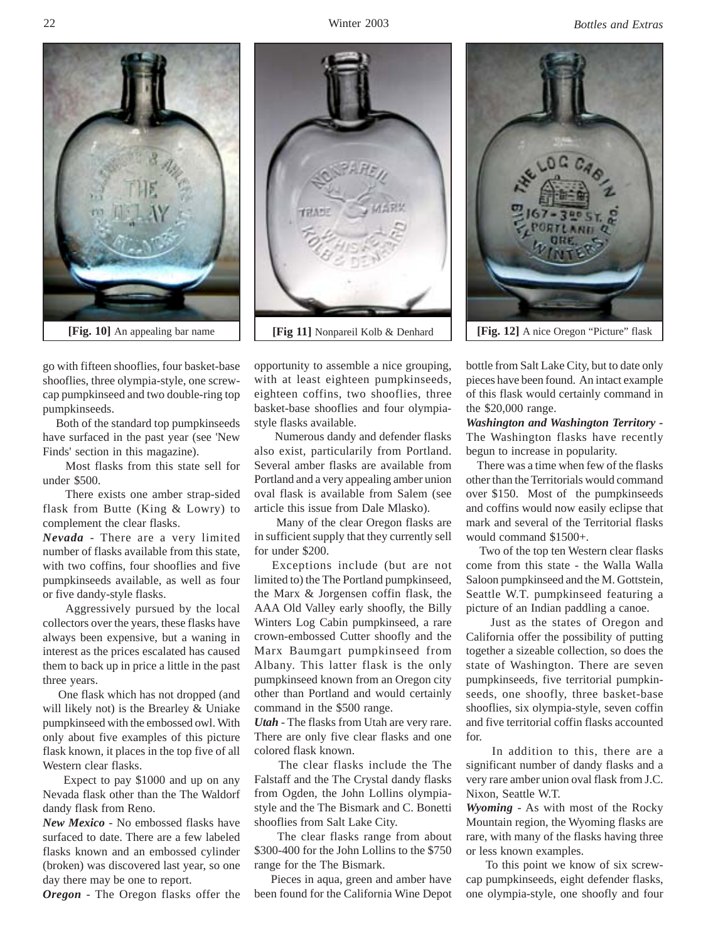Winter 2003 *Bottles and Extras*



go with fifteen shooflies, four basket-base shooflies, three olympia-style, one screwcap pumpkinseed and two double-ring top pumpkinseeds.

 Both of the standard top pumpkinseeds have surfaced in the past year (see 'New Finds' section in this magazine).

 Most flasks from this state sell for under \$500.

 There exists one amber strap-sided flask from Butte (King & Lowry) to complement the clear flasks.

*Nevada* - There are a very limited number of flasks available from this state, with two coffins, four shooflies and five pumpkinseeds available, as well as four or five dandy-style flasks.

 Aggressively pursued by the local collectors over the years, these flasks have always been expensive, but a waning in interest as the prices escalated has caused them to back up in price a little in the past three years.

 One flask which has not dropped (and will likely not) is the Brearley & Uniake pumpkinseed with the embossed owl. With only about five examples of this picture flask known, it places in the top five of all Western clear flasks.

 Expect to pay \$1000 and up on any Nevada flask other than the The Waldorf dandy flask from Reno.

*New Mexico* - No embossed flasks have surfaced to date. There are a few labeled flasks known and an embossed cylinder (broken) was discovered last year, so one day there may be one to report.

*Oregon* - The Oregon flasks offer the

opportunity to assemble a nice grouping, with at least eighteen pumpkinseeds, eighteen coffins, two shooflies, three basket-base shooflies and four olympiastyle flasks available.

 Numerous dandy and defender flasks also exist, particularily from Portland. Several amber flasks are available from Portland and a very appealing amber union oval flask is available from Salem (see article this issue from Dale Mlasko).

 Many of the clear Oregon flasks are in sufficient supply that they currently sell for under \$200.

 Exceptions include (but are not limited to) the The Portland pumpkinseed, the Marx & Jorgensen coffin flask, the AAA Old Valley early shoofly, the Billy Winters Log Cabin pumpkinseed, a rare crown-embossed Cutter shoofly and the Marx Baumgart pumpkinseed from Albany. This latter flask is the only pumpkinseed known from an Oregon city other than Portland and would certainly command in the \$500 range.

*Utah* - The flasks from Utah are very rare. There are only five clear flasks and one colored flask known.

 The clear flasks include the The Falstaff and the The Crystal dandy flasks from Ogden, the John Lollins olympiastyle and the The Bismark and C. Bonetti shooflies from Salt Lake City.

 The clear flasks range from about \$300-400 for the John Lollins to the \$750 range for the The Bismark.

 Pieces in aqua, green and amber have been found for the California Wine Depot



bottle from Salt Lake City, but to date only pieces have been found. An intact example of this flask would certainly command in the \$20,000 range.

*Washington and Washington Territory -* The Washington flasks have recently begun to increase in popularity.

 There was a time when few of the flasks other than the Territorials would command over \$150. Most of the pumpkinseeds and coffins would now easily eclipse that mark and several of the Territorial flasks would command \$1500+.

 Two of the top ten Western clear flasks come from this state - the Walla Walla Saloon pumpkinseed and the M. Gottstein, Seattle W.T. pumpkinseed featuring a picture of an Indian paddling a canoe.

 Just as the states of Oregon and California offer the possibility of putting together a sizeable collection, so does the state of Washington. There are seven pumpkinseeds, five territorial pumpkinseeds, one shoofly, three basket-base shooflies, six olympia-style, seven coffin and five territorial coffin flasks accounted for.

 In addition to this, there are a significant number of dandy flasks and a very rare amber union oval flask from J.C. Nixon, Seattle W.T.

*Wyoming* - As with most of the Rocky Mountain region, the Wyoming flasks are rare, with many of the flasks having three or less known examples.

 To this point we know of six screwcap pumpkinseeds, eight defender flasks, one olympia-style, one shoofly and four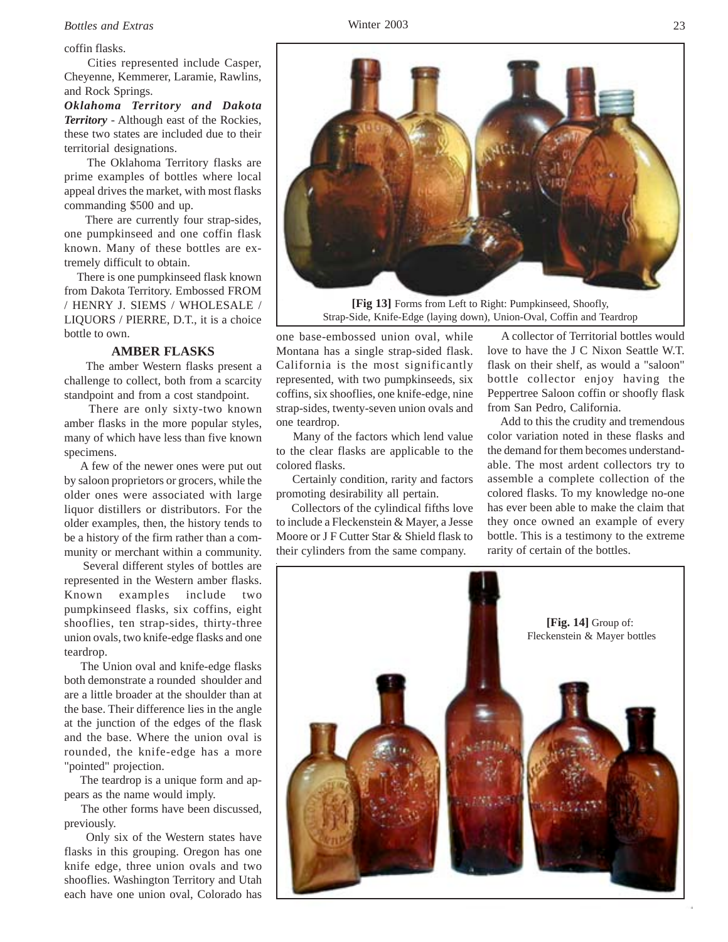# *Bottles and Extras* Winter 2003

coffin flasks.

 Cities represented include Casper, Cheyenne, Kemmerer, Laramie, Rawlins, and Rock Springs.

*Oklahoma Territory and Dakota Territory* - Although east of the Rockies, these two states are included due to their territorial designations.

 The Oklahoma Territory flasks are prime examples of bottles where local appeal drives the market, with most flasks commanding \$500 and up.

 There are currently four strap-sides, one pumpkinseed and one coffin flask known. Many of these bottles are extremely difficult to obtain.

 There is one pumpkinseed flask known from Dakota Territory. Embossed FROM / HENRY J. SIEMS / WHOLESALE / LIQUORS / PIERRE, D.T., it is a choice bottle to own.

#### **AMBER FLASKS**

 The amber Western flasks present a challenge to collect, both from a scarcity standpoint and from a cost standpoint.

 There are only sixty-two known amber flasks in the more popular styles, many of which have less than five known specimens.

 A few of the newer ones were put out by saloon proprietors or grocers, while the older ones were associated with large liquor distillers or distributors. For the older examples, then, the history tends to be a history of the firm rather than a community or merchant within a community.

 Several different styles of bottles are represented in the Western amber flasks. Known examples include two pumpkinseed flasks, six coffins, eight shooflies, ten strap-sides, thirty-three union ovals, two knife-edge flasks and one teardrop.

 The Union oval and knife-edge flasks both demonstrate a rounded shoulder and are a little broader at the shoulder than at the base. Their difference lies in the angle at the junction of the edges of the flask and the base. Where the union oval is rounded, the knife-edge has a more "pointed" projection.

 The teardrop is a unique form and appears as the name would imply.

 The other forms have been discussed, previously.

 Only six of the Western states have flasks in this grouping. Oregon has one knife edge, three union ovals and two shooflies. Washington Territory and Utah each have one union oval, Colorado has

# one teardrop. Many of the factors which lend value to the clear flasks are applicable to the colored flasks.

 Certainly condition, rarity and factors promoting desirability all pertain.

one base-embossed union oval, while Montana has a single strap-sided flask. California is the most significantly represented, with two pumpkinseeds, six coffins, six shooflies, one knife-edge, nine strap-sides, twenty-seven union ovals and

 Collectors of the cylindical fifths love to include a Fleckenstein & Mayer, a Jesse Moore or J F Cutter Star & Shield flask to their cylinders from the same company.

 A collector of Territorial bottles would love to have the J C Nixon Seattle W.T. flask on their shelf, as would a "saloon" bottle collector enjoy having the Peppertree Saloon coffin or shoofly flask from San Pedro, California.

 Add to this the crudity and tremendous color variation noted in these flasks and the demand for them becomes understandable. The most ardent collectors try to assemble a complete collection of the colored flasks. To my knowledge no-one has ever been able to make the claim that they once owned an example of every bottle. This is a testimony to the extreme rarity of certain of the bottles.





Strap-Side, Knife-Edge (laying down), Union-Oval, Coffin and Teardrop

23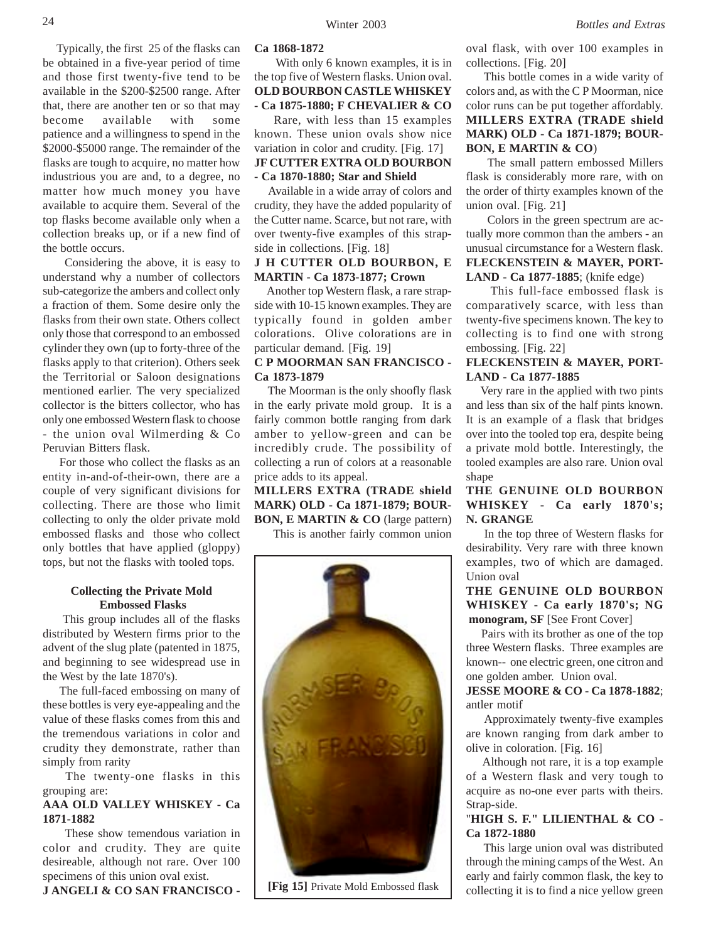Typically, the first 25 of the flasks can be obtained in a five-year period of time and those first twenty-five tend to be available in the \$200-\$2500 range. After that, there are another ten or so that may become available with some patience and a willingness to spend in the \$2000-\$5000 range. The remainder of the flasks are tough to acquire, no matter how industrious you are and, to a degree, no matter how much money you have available to acquire them. Several of the top flasks become available only when a collection breaks up, or if a new find of the bottle occurs.

 Considering the above, it is easy to understand why a number of collectors sub-categorize the ambers and collect only a fraction of them. Some desire only the flasks from their own state. Others collect only those that correspond to an embossed cylinder they own (up to forty-three of the flasks apply to that criterion). Others seek the Territorial or Saloon designations mentioned earlier. The very specialized collector is the bitters collector, who has only one embossed Western flask to choose - the union oval Wilmerding & Co Peruvian Bitters flask.

 For those who collect the flasks as an entity in-and-of-their-own, there are a couple of very significant divisions for collecting. There are those who limit collecting to only the older private mold embossed flasks and those who collect only bottles that have applied (gloppy) tops, but not the flasks with tooled tops.

#### **Collecting the Private Mold Embossed Flasks**

 This group includes all of the flasks distributed by Western firms prior to the advent of the slug plate (patented in 1875, and beginning to see widespread use in the West by the late 1870's).

 The full-faced embossing on many of these bottles is very eye-appealing and the value of these flasks comes from this and the tremendous variations in color and crudity they demonstrate, rather than simply from rarity

 The twenty-one flasks in this grouping are:

# **AAA OLD VALLEY WHISKEY - Ca 1871-1882**

 These show temendous variation in color and crudity. They are quite desireable, although not rare. Over 100 specimens of this union oval exist.

**J ANGELI & CO SAN FRANCISCO -**

#### **Ca 1868-1872**

 With only 6 known examples, it is in the top five of Western flasks. Union oval. **OLD BOURBON CASTLE WHISKEY**

**- Ca 1875-1880; F CHEVALIER & CO** Rare, with less than 15 examples known. These union ovals show nice

# variation in color and crudity. [Fig. 17] **JF CUTTER EXTRA OLD BOURBON - Ca 1870-1880; Star and Shield**

 Available in a wide array of colors and crudity, they have the added popularity of the Cutter name. Scarce, but not rare, with over twenty-five examples of this strapside in collections. [Fig. 18]

# **J H CUTTER OLD BOURBON, E MARTIN - Ca 1873-1877; Crown**

 Another top Western flask, a rare strapside with 10-15 known examples. They are typically found in golden amber colorations. Olive colorations are in particular demand. [Fig. 19]

# **C P MOORMAN SAN FRANCISCO - Ca 1873-1879**

 The Moorman is the only shoofly flask in the early private mold group. It is a fairly common bottle ranging from dark amber to yellow-green and can be incredibly crude. The possibility of collecting a run of colors at a reasonable price adds to its appeal.

# **MILLERS EXTRA (TRADE shield MARK) OLD - Ca 1871-1879; BOUR-BON, E MARTIN & CO** (large pattern)

This is another fairly common union



**[Fig 15]** Private Mold Embossed flask

oval flask, with over 100 examples in collections. [Fig. 20]

 This bottle comes in a wide varity of colors and, as with the C P Moorman, nice color runs can be put together affordably. **MILLERS EXTRA (TRADE shield MARK) OLD - Ca 1871-1879; BOUR-BON, E MARTIN & CO**)

 The small pattern embossed Millers flask is considerably more rare, with on the order of thirty examples known of the union oval. [Fig. 21]

 Colors in the green spectrum are actually more common than the ambers - an unusual circumstance for a Western flask. **FLECKENSTEIN & MAYER, PORT-LAND - Ca 1877-1885**; (knife edge)

 This full-face embossed flask is comparatively scarce, with less than twenty-five specimens known. The key to collecting is to find one with strong embossing. [Fig. 22]

# **FLECKENSTEIN & MAYER, PORT-LAND - Ca 1877-1885**

 Very rare in the applied with two pints and less than six of the half pints known. It is an example of a flask that bridges over into the tooled top era, despite being a private mold bottle. Interestingly, the tooled examples are also rare. Union oval shape

**THE GENUINE OLD BOURBON WHISKEY - Ca early 1870's; N. GRANGE**

 In the top three of Western flasks for desirability. Very rare with three known examples, two of which are damaged. Union oval

**THE GENUINE OLD BOURBON WHISKEY - Ca early 1870's; NG monogram, SF** [See Front Cover]

 Pairs with its brother as one of the top three Western flasks. Three examples are known-- one electric green, one citron and one golden amber. Union oval.

**JESSE MOORE & CO - Ca 1878-1882**; antler motif

 Approximately twenty-five examples are known ranging from dark amber to olive in coloration. [Fig. 16]

 Although not rare, it is a top example of a Western flask and very tough to acquire as no-one ever parts with theirs. Strap-side.

# "**HIGH S. F." LILIENTHAL & CO - Ca 1872-1880**

 This large union oval was distributed through the mining camps of the West. An early and fairly common flask, the key to collecting it is to find a nice yellow green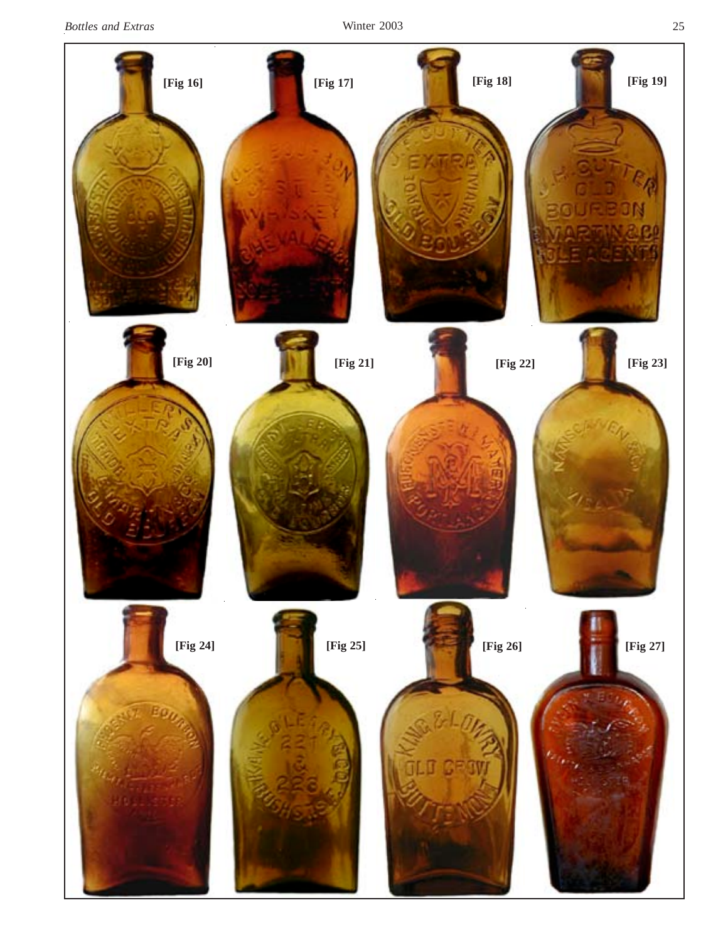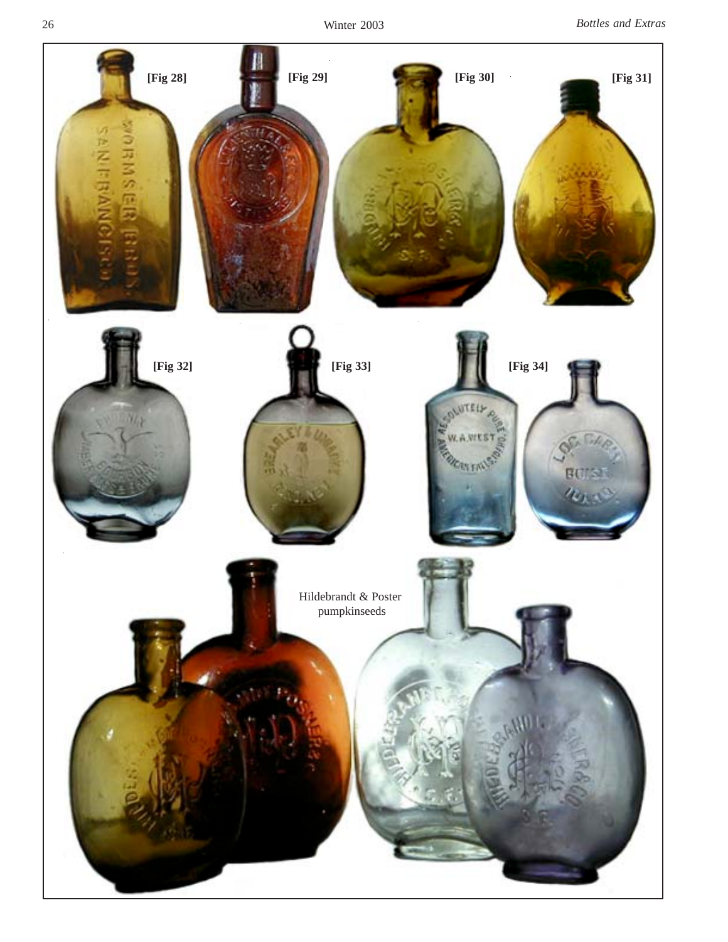Winter 2003 *Bottles and Extras*

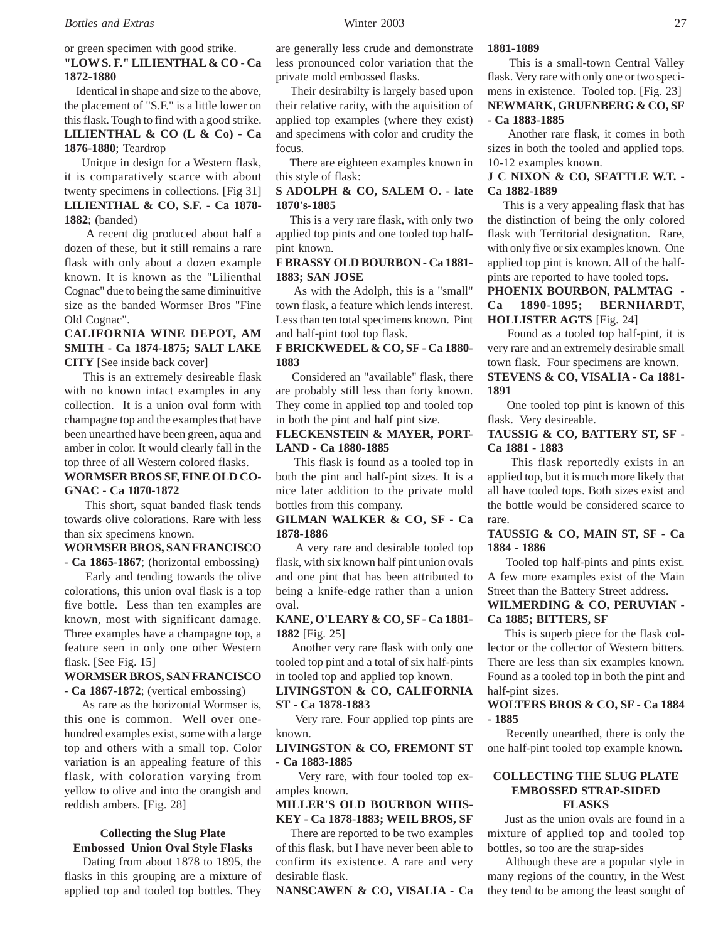### or green specimen with good strike. **"LOW S. F." LILIENTHAL & CO - Ca 1872-1880**

 Identical in shape and size to the above, the placement of "S.F." is a little lower on this flask. Tough to find with a good strike. **LILIENTHAL & CO (L & Co) - Ca 1876-1880**; Teardrop

 Unique in design for a Western flask, it is comparatively scarce with about twenty specimens in collections. [Fig 31] **LILIENTHAL & CO, S.F. - Ca 1878- 1882**; (banded)

 A recent dig produced about half a dozen of these, but it still remains a rare flask with only about a dozen example known. It is known as the "Lilienthal Cognac" due to being the same diminuitive size as the banded Wormser Bros "Fine Old Cognac".

# **CALIFORNIA WINE DEPOT, AM SMITH - Ca 1874-1875; SALT LAKE CITY** [See inside back cover]

 This is an extremely desireable flask with no known intact examples in any collection. It is a union oval form with champagne top and the examples that have been unearthed have been green, aqua and amber in color. It would clearly fall in the top three of all Western colored flasks. **WORMSER BROS SF, FINE OLD CO-GNAC - Ca 1870-1872**

 This short, squat banded flask tends towards olive colorations. Rare with less than six specimens known.

# **WORMSER BROS, SAN FRANCISCO**

**- Ca 1865-1867**; (horizontal embossing) Early and tending towards the olive

colorations, this union oval flask is a top five bottle. Less than ten examples are known, most with significant damage. Three examples have a champagne top, a feature seen in only one other Western flask. [See Fig. 15]

# **WORMSER BROS, SAN FRANCISCO**

**- Ca 1867-1872**; (vertical embossing)

 As rare as the horizontal Wormser is, this one is common. Well over onehundred examples exist, some with a large top and others with a small top. Color variation is an appealing feature of this flask, with coloration varying from yellow to olive and into the orangish and reddish ambers. [Fig. 28]

# **Collecting the Slug Plate Embossed Union Oval Style Flasks**

 Dating from about 1878 to 1895, the flasks in this grouping are a mixture of applied top and tooled top bottles. They

are generally less crude and demonstrate less pronounced color variation that the private mold embossed flasks.

 Their desirabilty is largely based upon their relative rarity, with the aquisition of applied top examples (where they exist) and specimens with color and crudity the focus.

 There are eighteen examples known in this style of flask:

# **S ADOLPH & CO, SALEM O. - late 1870's-1885**

 This is a very rare flask, with only two applied top pints and one tooled top halfpint known.

# **F BRASSY OLD BOURBON - Ca 1881- 1883; SAN JOSE**

 As with the Adolph, this is a "small" town flask, a feature which lends interest. Less than ten total specimens known. Pint and half-pint tool top flask.

# **F BRICKWEDEL & CO, SF - Ca 1880- 1883**

 Considered an "available" flask, there are probably still less than forty known. They come in applied top and tooled top in both the pint and half pint size.

# **FLECKENSTEIN & MAYER, PORT-LAND - Ca 1880-1885**

 This flask is found as a tooled top in both the pint and half-pint sizes. It is a nice later addition to the private mold bottles from this company.

# **GILMAN WALKER & CO, SF - Ca 1878-1886**

 A very rare and desirable tooled top flask, with six known half pint union ovals and one pint that has been attributed to being a knife-edge rather than a union oval.

# **KANE, O'LEARY & CO, SF - Ca 1881- 1882** [Fig. 25]

 Another very rare flask with only one tooled top pint and a total of six half-pints in tooled top and applied top known.

# **LIVINGSTON & CO, CALIFORNIA ST - Ca 1878-1883**

 Very rare. Four applied top pints are known.

**LIVINGSTON & CO, FREMONT ST - Ca 1883-1885**

 Very rare, with four tooled top examples known.

### **MILLER'S OLD BOURBON WHIS-KEY - Ca 1878-1883; WEIL BROS, SF**

 There are reported to be two examples of this flask, but I have never been able to confirm its existence. A rare and very desirable flask.

**NANSCAWEN & CO, VISALIA - Ca**

#### **1881-1889**

 This is a small-town Central Valley flask. Very rare with only one or two specimens in existence. Tooled top. [Fig. 23] **NEWMARK, GRUENBERG & CO, SF - Ca 1883-1885**

 Another rare flask, it comes in both sizes in both the tooled and applied tops. 10-12 examples known.

# **J C NIXON & CO, SEATTLE W.T. - Ca 1882-1889**

 This is a very appealing flask that has the distinction of being the only colored flask with Territorial designation. Rare, with only five or six examples known. One applied top pint is known. All of the halfpints are reported to have tooled tops.

**PHOENIX BOURBON, PALMTAG - Ca 1890-1895; BERNHARDT, HOLLISTER AGTS** [Fig. 24]

 Found as a tooled top half-pint, it is very rare and an extremely desirable small town flask. Four specimens are known.

# **STEVENS & CO, VISALIA - Ca 1881- 1891**

 One tooled top pint is known of this flask. Very desireable.

**TAUSSIG & CO, BATTERY ST, SF - Ca 1881 - 1883**

 This flask reportedly exists in an applied top, but it is much more likely that all have tooled tops. Both sizes exist and the bottle would be considered scarce to rare.

# **TAUSSIG & CO, MAIN ST, SF - Ca 1884 - 1886**

 Tooled top half-pints and pints exist. A few more examples exist of the Main Street than the Battery Street address.

# **WILMERDING & CO, PERUVIAN - Ca 1885; BITTERS, SF**

 This is superb piece for the flask collector or the collector of Western bitters. There are less than six examples known. Found as a tooled top in both the pint and half-pint sizes.

#### **WOLTERS BROS & CO, SF - Ca 1884 - 1885**

 Recently unearthed, there is only the one half-pint tooled top example known**.**

#### **COLLECTING THE SLUG PLATE EMBOSSED STRAP-SIDED FLASKS**

 Just as the union ovals are found in a mixture of applied top and tooled top bottles, so too are the strap-sides

 Although these are a popular style in many regions of the country, in the West they tend to be among the least sought of